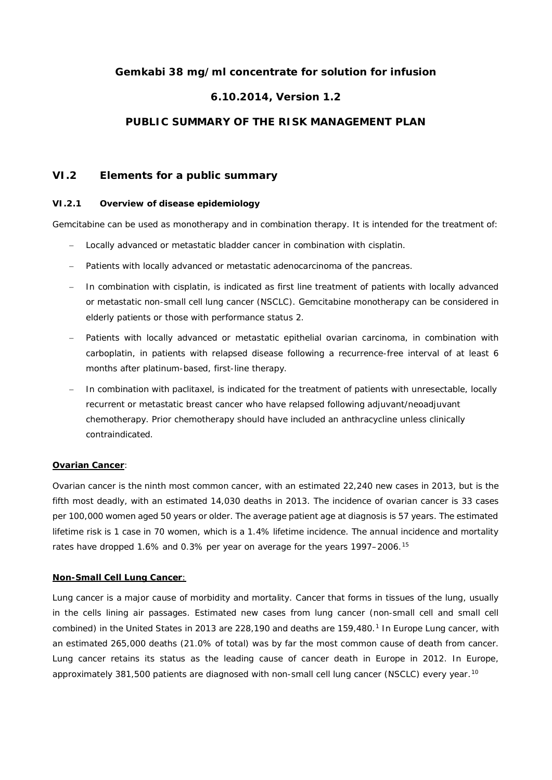# **Gemkabi 38 mg/ml concentrate for solution for infusion**

# **6.10.2014, Version 1.2**

## **PUBLIC SUMMARY OF THE RISK MANAGEMENT PLAN**

## **VI.2 Elements for a public summary**

### *VI.2.1 Overview of disease epidemiology*

Gemcitabine can be used as monotherapy and in combination therapy. It is intended for the treatment of:

- Locally advanced or metastatic bladder cancer in combination with cisplatin.
- Patients with locally advanced or metastatic adenocarcinoma of the pancreas.
- In combination with cisplatin, is indicated as first line treatment of patients with locally advanced or metastatic non-small cell lung cancer (NSCLC). Gemcitabine monotherapy can be considered in elderly patients or those with performance status 2.
- Patients with locally advanced or metastatic epithelial ovarian carcinoma, in combination with carboplatin, in patients with relapsed disease following a recurrence-free interval of at least 6 months after platinum-based, first-line therapy.
- In combination with paclitaxel, is indicated for the treatment of patients with unresectable, locally recurrent or metastatic breast cancer who have relapsed following adjuvant/neoadjuvant chemotherapy. Prior chemotherapy should have included an anthracycline unless clinically contraindicated.

## *Ovarian Cancer:*

Ovarian cancer is the ninth most common cancer, with an estimated 22,240 new cases in 2013, but is the fifth most deadly, with an estimated 14,030 deaths in 2013. The incidence of ovarian cancer is 33 cases per 100,000 women aged 50 years or older. The average patient age at diagnosis is 57 years. The estimated lifetime risk is 1 case in 70 women, which is a 1.4% lifetime incidence. The annual incidence and mortality rates have dropped 1.6% and 0.3% per year on average for the years 1997–2006.<sup>15</sup>

## *Non-Small Cell Lung Cancer:*

Lung cancer is a major cause of morbidity and mortality. Cancer that forms in tissues of the lung, usually in the cells lining air passages. Estimated new cases from lung cancer (non-small cell and small cell combined) in the United States in 2013 are 228,190 and deaths are 159,480.<sup>1</sup> In Europe Lung cancer, with an estimated 265,000 deaths (21.0% of total) was by far the most common cause of death from cancer. Lung cancer retains its status as the leading cause of cancer death in Europe in 2012. In Europe, approximately 381,500 patients are diagnosed with non-small cell lung cancer (NSCLC) every year.<sup>10</sup>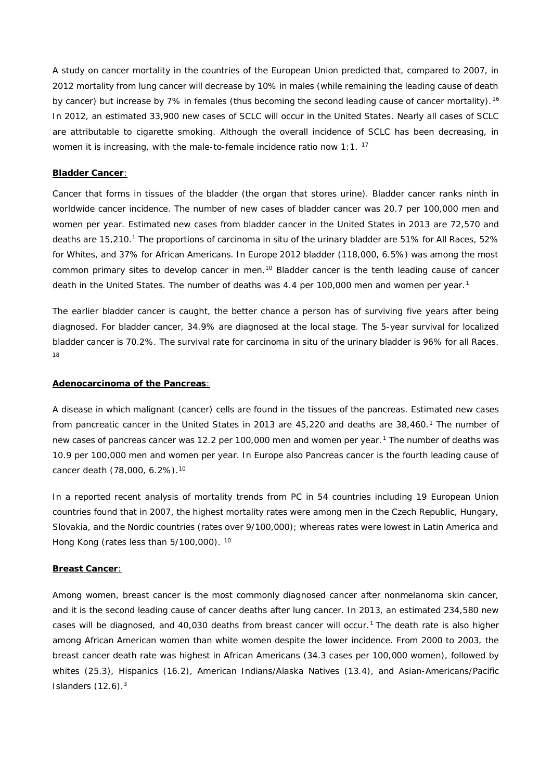A study on cancer mortality in the countries of the European Union predicted that, compared to 2007, in 2012 mortality from lung cancer will decrease by 10% in males (while remaining the leading cause of death by cancer) but increase by 7% in females (thus becoming the second leading cause of cancer mortality). <sup>16</sup> In 2012, an estimated 33,900 new cases of SCLC will occur in the United States. Nearly all cases of SCLC are attributable to cigarette smoking. Although the overall incidence of SCLC has been decreasing, in women it is increasing, with the male-to-female incidence ratio now 1:1.<sup>17</sup>

#### *Bladder Cancer:*

Cancer that forms in tissues of the bladder (the organ that stores urine). Bladder cancer ranks ninth in worldwide cancer incidence. The number of new cases of bladder cancer was 20.7 per 100,000 men and women per year. Estimated new cases from bladder cancer in the United States in 2013 are 72,570 and deaths are 15,210.<sup>1</sup> The proportions of carcinoma *in situ* of the urinary bladder are 51% for All Races, 52% for Whites, and 37% for African Americans. In Europe 2012 bladder (118,000, 6.5%) was among the most common primary sites to develop cancer in men.<sup>10</sup> Bladder cancer is the tenth leading cause of cancer death in the United States. The number of deaths was 4.4 per 100,000 men and women per year.<sup>1</sup>

The earlier bladder cancer is caught, the better chance a person has of surviving five years after being diagnosed. For bladder cancer, 34.9% are diagnosed at the local stage. The 5-year survival for localized bladder cancer is 70.2%. The survival rate for carcinoma *in situ* of the urinary bladder is 96% for all Races. 18

#### *Adenocarcinoma of the Pancreas*:

A disease in which malignant (cancer) cells are found in the tissues of the pancreas. Estimated new cases from pancreatic cancer in the United States in 2013 are 45,220 and deaths are 38,460.<sup>1</sup> The number of new cases of pancreas cancer was 12.2 per 100,000 men and women per year.<sup>1</sup> The number of deaths was 10.9 per 100,000 men and women per year. In Europe also Pancreas cancer is the fourth leading cause of cancer death (78,000, 6.2%).<sup>10</sup>

In a reported recent analysis of mortality trends from PC in 54 countries including 19 European Union countries found that in 2007, the highest mortality rates were among men in the Czech Republic, Hungary, Slovakia, and the Nordic countries (rates over 9/100,000); whereas rates were lowest in Latin America and Hong Kong (rates less than 5/100,000). <sup>10</sup>

#### *Breast Cancer*:

Among women, breast cancer is the most commonly diagnosed cancer after nonmelanoma skin cancer, and it is the second leading cause of cancer deaths after lung cancer. In 2013, an estimated 234,580 new cases will be diagnosed, and 40,030 deaths from breast cancer will occur.<sup>1</sup> The death rate is also higher among African American women than white women despite the lower incidence. From 2000 to 2003, the breast cancer death rate was highest in African Americans (34.3 cases per 100,000 women), followed by whites (25.3), Hispanics (16.2), American Indians/Alaska Natives (13.4), and Asian-Americans/Pacific Islanders  $(12.6).<sup>3</sup>$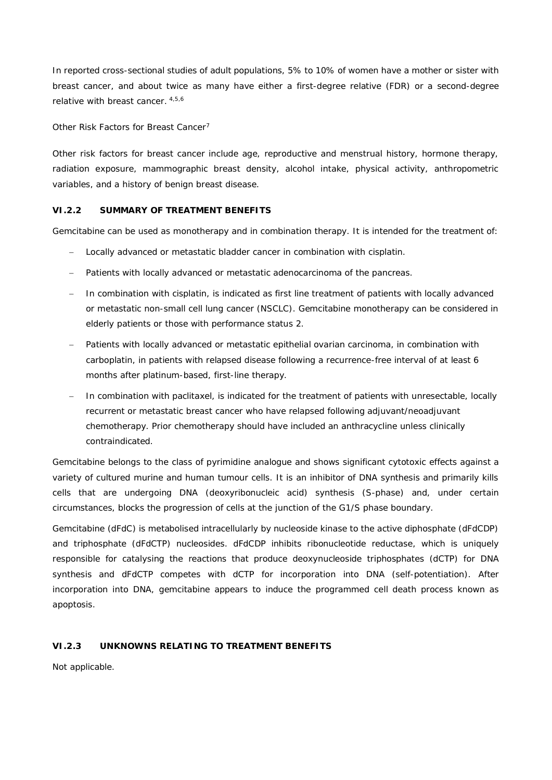In reported cross-sectional studies of adult populations, 5% to 10% of women have a mother or sister with breast cancer, and about twice as many have either a first-degree relative (FDR) or a second-degree relative with breast cancer. 4,5,6

## *Other Risk Factors for Breast Cancer*<sup>7</sup>

Other risk factors for breast cancer include age, reproductive and menstrual history, hormone therapy, radiation exposure, mammographic breast density, alcohol intake, physical activity, anthropometric variables, and a history of benign breast disease.

### **VI.2.2 SUMMARY OF TREATMENT BENEFITS**

Gemcitabine can be used as monotherapy and in combination therapy. It is intended for the treatment of:

- Locally advanced or metastatic bladder cancer in combination with cisplatin.
- Patients with locally advanced or metastatic adenocarcinoma of the pancreas.
- In combination with cisplatin, is indicated as first line treatment of patients with locally advanced or metastatic non-small cell lung cancer (NSCLC). Gemcitabine monotherapy can be considered in elderly patients or those with performance status 2.
- Patients with locally advanced or metastatic epithelial ovarian carcinoma, in combination with carboplatin, in patients with relapsed disease following a recurrence-free interval of at least 6 months after platinum-based, first-line therapy.
- In combination with paclitaxel, is indicated for the treatment of patients with unresectable, locally recurrent or metastatic breast cancer who have relapsed following adjuvant/neoadjuvant chemotherapy. Prior chemotherapy should have included an anthracycline unless clinically contraindicated.

Gemcitabine belongs to the class of pyrimidine analogue and shows significant cytotoxic effects against a variety of cultured murine and human tumour cells. It is an inhibitor of DNA synthesis and primarily kills cells that are undergoing DNA (deoxyribonucleic acid) synthesis (S-phase) and, under certain circumstances, blocks the progression of cells at the junction of the G1/S phase boundary.

Gemcitabine (dFdC) is metabolised intracellularly by nucleoside kinase to the active diphosphate (dFdCDP) and triphosphate (dFdCTP) nucleosides. dFdCDP inhibits ribonucleotide reductase, which is uniquely responsible for catalysing the reactions that produce deoxynucleoside triphosphates (dCTP) for DNA synthesis and dFdCTP competes with dCTP for incorporation into DNA (self-potentiation). After incorporation into DNA, gemcitabine appears to induce the programmed cell death process known as apoptosis.

### **VI.2.3 UNKNOWNS RELATING TO TREATMENT BENEFITS**

Not applicable.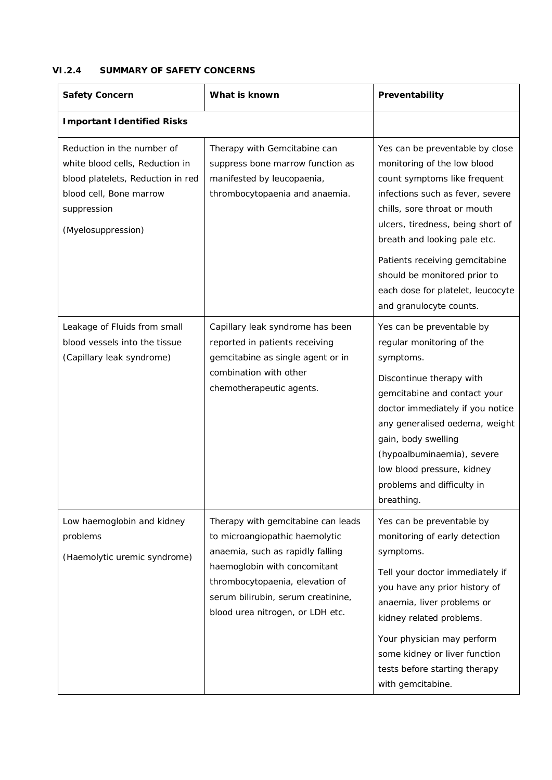# **VI.2.4 SUMMARY OF SAFETY CONCERNS**

| Safety Concern                                                                                                                                                     | What is known                                                                                                                                                                                                                                         | Preventability                                                                                                                                                                                                                                                                                                                                                            |
|--------------------------------------------------------------------------------------------------------------------------------------------------------------------|-------------------------------------------------------------------------------------------------------------------------------------------------------------------------------------------------------------------------------------------------------|---------------------------------------------------------------------------------------------------------------------------------------------------------------------------------------------------------------------------------------------------------------------------------------------------------------------------------------------------------------------------|
| Important Identified Risks                                                                                                                                         |                                                                                                                                                                                                                                                       |                                                                                                                                                                                                                                                                                                                                                                           |
| Reduction in the number of<br>white blood cells, Reduction in<br>blood platelets, Reduction in red<br>blood cell, Bone marrow<br>suppression<br>(Myelosuppression) | Therapy with Gemcitabine can<br>suppress bone marrow function as<br>manifested by leucopaenia,<br>thrombocytopaenia and anaemia.                                                                                                                      | Yes can be preventable by close<br>monitoring of the low blood<br>count symptoms like frequent<br>infections such as fever, severe<br>chills, sore throat or mouth<br>ulcers, tiredness, being short of<br>breath and looking pale etc.<br>Patients receiving gemcitabine<br>should be monitored prior to<br>each dose for platelet, leucocyte<br>and granulocyte counts. |
| Leakage of Fluids from small<br>blood vessels into the tissue<br>(Capillary leak syndrome)                                                                         | Capillary leak syndrome has been<br>reported in patients receiving<br>gemcitabine as single agent or in<br>combination with other<br>chemotherapeutic agents.                                                                                         | Yes can be preventable by<br>regular monitoring of the<br>symptoms.<br>Discontinue therapy with<br>gemcitabine and contact your<br>doctor immediately if you notice<br>any generalised oedema, weight<br>gain, body swelling<br>(hypoalbuminaemia), severe<br>low blood pressure, kidney<br>problems and difficulty in<br>breathing.                                      |
| Low haemoglobin and kidney<br>problems<br>(Haemolytic uremic syndrome)                                                                                             | Therapy with gemcitabine can leads<br>to microangiopathic haemolytic<br>anaemia, such as rapidly falling<br>haemoglobin with concomitant<br>thrombocytopaenia, elevation of<br>serum bilirubin, serum creatinine,<br>blood urea nitrogen, or LDH etc. | Yes can be preventable by<br>monitoring of early detection<br>symptoms.<br>Tell your doctor immediately if<br>you have any prior history of<br>anaemia, liver problems or<br>kidney related problems.<br>Your physician may perform<br>some kidney or liver function<br>tests before starting therapy<br>with gemcitabine.                                                |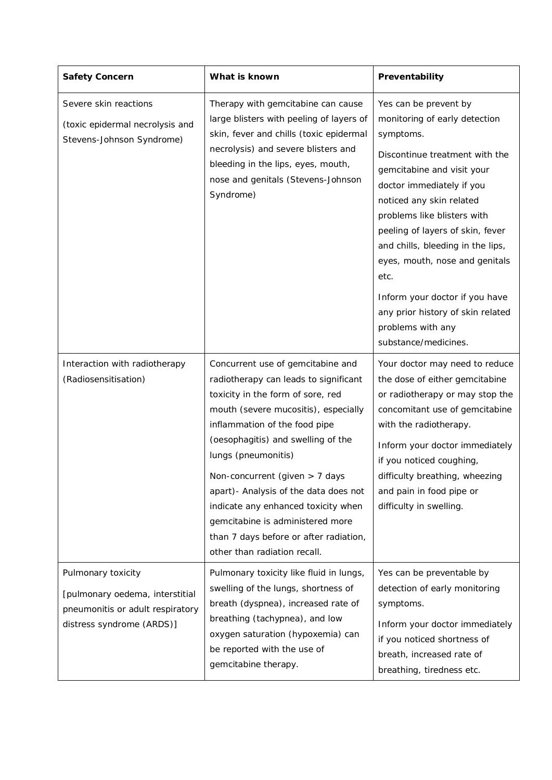| Safety Concern                                                                                                         | What is known                                                                                                                                                                                                                                                                                                                                                                                                                                                                          | Preventability                                                                                                                                                                                                                                                                                                                                                                                                                                                     |
|------------------------------------------------------------------------------------------------------------------------|----------------------------------------------------------------------------------------------------------------------------------------------------------------------------------------------------------------------------------------------------------------------------------------------------------------------------------------------------------------------------------------------------------------------------------------------------------------------------------------|--------------------------------------------------------------------------------------------------------------------------------------------------------------------------------------------------------------------------------------------------------------------------------------------------------------------------------------------------------------------------------------------------------------------------------------------------------------------|
| Severe skin reactions<br>(toxic epidermal necrolysis and<br>Stevens-Johnson Syndrome)                                  | Therapy with gemcitabine can cause<br>large blisters with peeling of layers of<br>skin, fever and chills (toxic epidermal<br>necrolysis) and severe blisters and<br>bleeding in the lips, eyes, mouth,<br>nose and genitals (Stevens-Johnson<br>Syndrome)                                                                                                                                                                                                                              | Yes can be prevent by<br>monitoring of early detection<br>symptoms.<br>Discontinue treatment with the<br>gemcitabine and visit your<br>doctor immediately if you<br>noticed any skin related<br>problems like blisters with<br>peeling of layers of skin, fever<br>and chills, bleeding in the lips,<br>eyes, mouth, nose and genitals<br>etc.<br>Inform your doctor if you have<br>any prior history of skin related<br>problems with any<br>substance/medicines. |
| Interaction with radiotherapy<br>(Radiosensitisation)                                                                  | Concurrent use of gemcitabine and<br>radiotherapy can leads to significant<br>toxicity in the form of sore, red<br>mouth (severe mucositis), especially<br>inflammation of the food pipe<br>(oesophagitis) and swelling of the<br>lungs (pneumonitis)<br>Non-concurrent (given > 7 days<br>apart) - Analysis of the data does not<br>indicate any enhanced toxicity when<br>gemcitabine is administered more<br>than 7 days before or after radiation,<br>other than radiation recall. | Your doctor may need to reduce<br>the dose of either gemcitabine<br>or radiotherapy or may stop the<br>concomitant use of gemcitabine<br>with the radiotherapy.<br>Inform your doctor immediately<br>if you noticed coughing,<br>difficulty breathing, wheezing<br>and pain in food pipe or<br>difficulty in swelling.                                                                                                                                             |
| Pulmonary toxicity<br>[pulmonary oedema, interstitial<br>pneumonitis or adult respiratory<br>distress syndrome (ARDS)] | Pulmonary toxicity like fluid in lungs,<br>swelling of the lungs, shortness of<br>breath (dyspnea), increased rate of<br>breathing (tachypnea), and low<br>oxygen saturation (hypoxemia) can<br>be reported with the use of<br>gemcitabine therapy.                                                                                                                                                                                                                                    | Yes can be preventable by<br>detection of early monitoring<br>symptoms.<br>Inform your doctor immediately<br>if you noticed shortness of<br>breath, increased rate of<br>breathing, tiredness etc.                                                                                                                                                                                                                                                                 |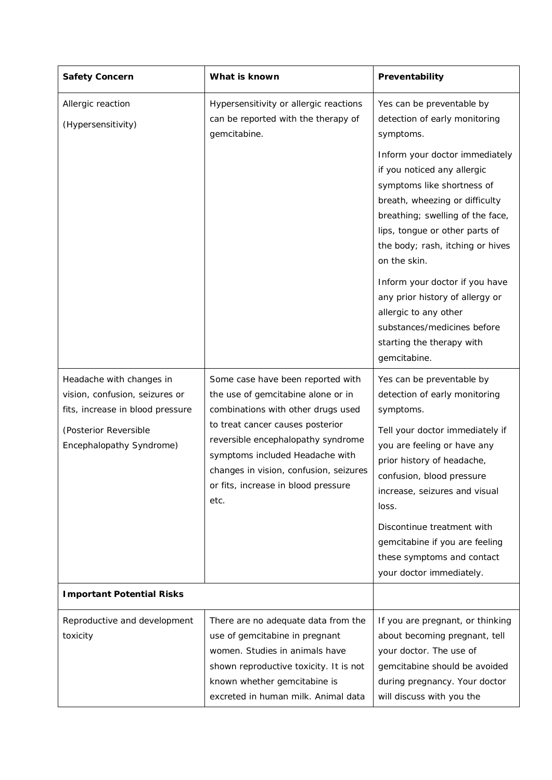| Safety Concern                                                                                                                                      | What is known                                                                                                                                                                                                                                                                                                       | Preventability                                                                                                                                                                                                                                                                                                                                                                                                                                                                                               |
|-----------------------------------------------------------------------------------------------------------------------------------------------------|---------------------------------------------------------------------------------------------------------------------------------------------------------------------------------------------------------------------------------------------------------------------------------------------------------------------|--------------------------------------------------------------------------------------------------------------------------------------------------------------------------------------------------------------------------------------------------------------------------------------------------------------------------------------------------------------------------------------------------------------------------------------------------------------------------------------------------------------|
| Allergic reaction<br>(Hypersensitivity)                                                                                                             | Hypersensitivity or allergic reactions<br>can be reported with the therapy of<br>gemcitabine.                                                                                                                                                                                                                       | Yes can be preventable by<br>detection of early monitoring<br>symptoms.<br>Inform your doctor immediately<br>if you noticed any allergic<br>symptoms like shortness of<br>breath, wheezing or difficulty<br>breathing; swelling of the face,<br>lips, tongue or other parts of<br>the body; rash, itching or hives<br>on the skin.<br>Inform your doctor if you have<br>any prior history of allergy or<br>allergic to any other<br>substances/medicines before<br>starting the therapy with<br>gemcitabine. |
| Headache with changes in<br>vision, confusion, seizures or<br>fits, increase in blood pressure<br>(Posterior Reversible<br>Encephalopathy Syndrome) | Some case have been reported with<br>the use of gemcitabine alone or in<br>combinations with other drugs used<br>to treat cancer causes posterior<br>reversible encephalopathy syndrome<br>symptoms included Headache with<br>changes in vision, confusion, seizures<br>or fits, increase in blood pressure<br>etc. | Yes can be preventable by<br>detection of early monitoring<br>symptoms.<br>Tell your doctor immediately if<br>you are feeling or have any<br>prior history of headache,<br>confusion, blood pressure<br>increase, seizures and visual<br>loss.<br>Discontinue treatment with<br>gemcitabine if you are feeling<br>these symptoms and contact<br>your doctor immediately.                                                                                                                                     |
| Important Potential Risks                                                                                                                           |                                                                                                                                                                                                                                                                                                                     |                                                                                                                                                                                                                                                                                                                                                                                                                                                                                                              |
| Reproductive and development<br>toxicity                                                                                                            | There are no adequate data from the<br>use of gemcitabine in pregnant<br>women. Studies in animals have<br>shown reproductive toxicity. It is not<br>known whether gemcitabine is<br>excreted in human milk. Animal data                                                                                            | If you are pregnant, or thinking<br>about becoming pregnant, tell<br>your doctor. The use of<br>gemcitabine should be avoided<br>during pregnancy. Your doctor<br>will discuss with you the                                                                                                                                                                                                                                                                                                                  |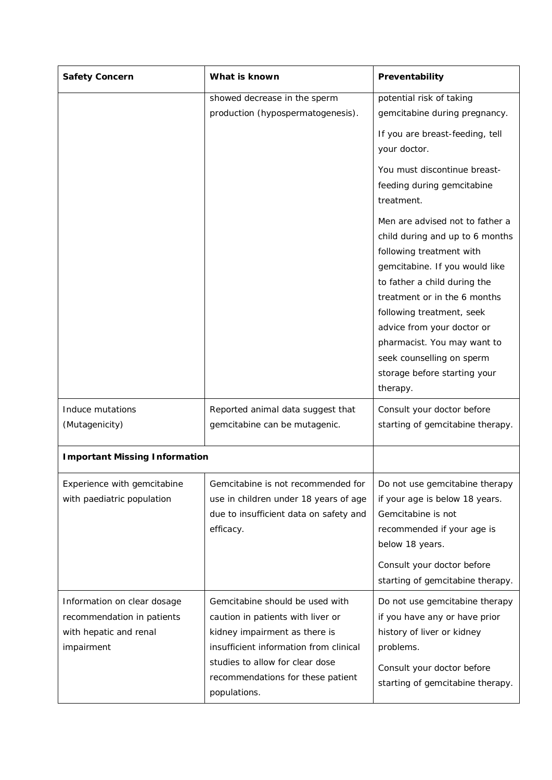| Safety Concern                       | What is known                          | Preventability                           |
|--------------------------------------|----------------------------------------|------------------------------------------|
|                                      | showed decrease in the sperm           | potential risk of taking                 |
|                                      | production (hypospermatogenesis).      | gemcitabine during pregnancy.            |
|                                      |                                        | If you are breast-feeding, tell          |
|                                      |                                        | your doctor.                             |
|                                      |                                        |                                          |
|                                      |                                        | You must discontinue breast-             |
|                                      |                                        | feeding during gemcitabine               |
|                                      |                                        | treatment.                               |
|                                      |                                        | Men are advised not to father a          |
|                                      |                                        | child during and up to 6 months          |
|                                      |                                        | following treatment with                 |
|                                      |                                        | gemcitabine. If you would like           |
|                                      |                                        | to father a child during the             |
|                                      |                                        | treatment or in the 6 months             |
|                                      |                                        | following treatment, seek                |
|                                      |                                        | advice from your doctor or               |
|                                      |                                        | pharmacist. You may want to              |
|                                      |                                        | seek counselling on sperm                |
|                                      |                                        | storage before starting your<br>therapy. |
|                                      |                                        |                                          |
| Induce mutations                     | Reported animal data suggest that      | Consult your doctor before               |
| (Mutagenicity)                       | gemcitabine can be mutagenic.          | starting of gemcitabine therapy.         |
|                                      |                                        |                                          |
| <b>Important Missing Information</b> |                                        |                                          |
| Experience with gemcitabine          | Gemcitabine is not recommended for     | Do not use gemcitabine therapy           |
| with paediatric population           | use in children under 18 years of age  | if your age is below 18 years.           |
|                                      | due to insufficient data on safety and | Gemcitabine is not                       |
|                                      | efficacy.                              | recommended if your age is               |
|                                      |                                        | below 18 years.                          |
|                                      |                                        | Consult your doctor before               |
|                                      |                                        | starting of gemcitabine therapy.         |
| Information on clear dosage          | Gemcitabine should be used with        | Do not use gemcitabine therapy           |
| recommendation in patients           | caution in patients with liver or      | if you have any or have prior            |
| with hepatic and renal               | kidney impairment as there is          | history of liver or kidney               |
| impairment                           | insufficient information from clinical | problems.                                |
|                                      | studies to allow for clear dose        | Consult your doctor before               |
|                                      | recommendations for these patient      | starting of gemcitabine therapy.         |
|                                      | populations.                           |                                          |